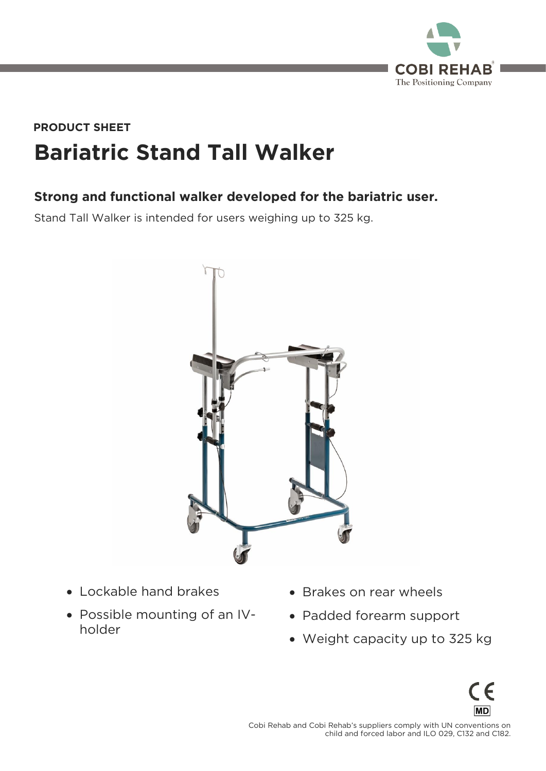

## **Bariatric Stand Tall Walker PRODUCT SHEET**

## **Strong and functional walker developed for the bariatric user.**

Stand Tall Walker is intended for users weighing up to 325 kg.



- Lockable hand brakes
- Possible mounting of an IVholder
- Brakes on rear wheels
- Padded forearm support
- Weight capacity up to 325 kg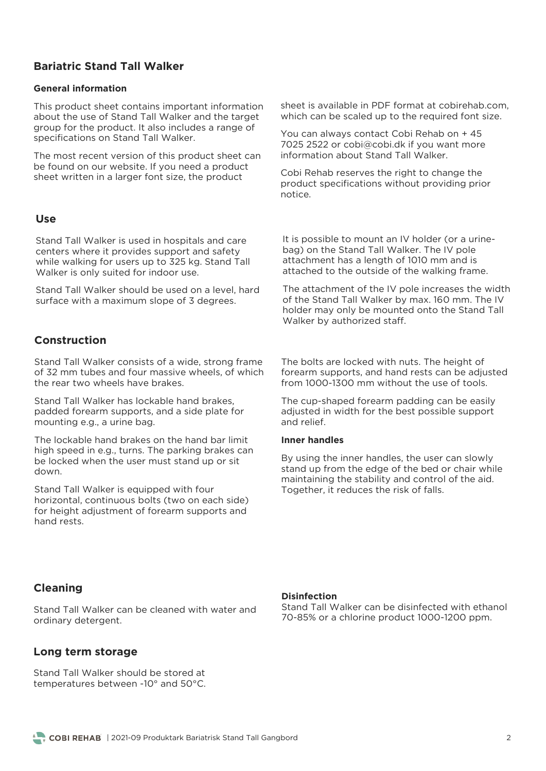## **Bariatric Stand Tall Walker**

#### **General information**

This product sheet contains important information<br>about the use of Stand Tall Walker and the target group for the product. It also includes a range of specifications on Stand Tall Walker. specifications on Stand Tall Walker.

The most recent version of this product sheet can<br>be found on our website. If you need a product sheet written in a larger font size, the product sheet was die larger font size, the product size, the product size, the product size, the product size, the product size, the product size, the product size, the product size, the product size, the product size, the produc

#### **Use**

Stand Tall Walker is used in hospitals and care while walking for users up to 325 kg. Stand Tall  $W$ alker is only suited for indoor use Walker is only suited for induced for induced for induced for induced  $\frac{1}{2}$ 

Stand Tall Walker should be used on a level, hard surface with a maximum slope of 3 degrees. surface with a maximum slope of 3 degrees.

## **Construction**

Stand Tall Walker consists of a wide, strong frame of 32 mm tubes and four massive wheels, of which the rear two wheels have brakes.

Stand Tall Walker has lockable hand brakes, padded forearm supports, and a side plate for  $p_1$  padded for a support of  $p_1$  and  $p_2$  and  $p_3$  and  $p_4$  and  $p_5$  and  $p_6$  and  $p_7$  and  $p_8$  and  $p_9$  and  $p_9$  and  $p_9$  and  $p_9$  and  $p_9$  and  $p_9$  and  $p_9$  and  $p_9$  and  $p_9$  and  $p_9$  and  $p_9$  and mounting e.g., a urine bag.

The lockable hand brakes on the hand bar limit<br>high speed in e.g., turns. The parking brakes can be locked when the user must stand up or sit be locked when the user must stand up or sit

Stand Tall Walker is equipped with four<br>horizontal, continuous bolts (two on each side) for height adjustment of forearm supports and hand rests.

sheet is available in PDF format at cobirehab.com, which can be scaled up to the required font size. which can be scaled up to the required font size.

You can always contact Cobi Rehab on + 45<br>7025 2522 or cobi@cobi.dk if you want more information about Stand Tall Walker.

continuatives the right to change the product specifications with providing providing providing providing providing providing providing providing pr

It is possible to mount an IV holder (or a urine-<br>bag) on the Stand Tall Walker. The IV pole attachment has a length of 1010 mm and is attached to the outside of the walking fram attached to the outside of the walking frame.

The attachment of the IV pole increases the width of the Stand Tall Walker by max. 160 mm. The IV holder may only be mounted onto the Stand Tall Walker by authorized staff. Walker by authorized staff.

The bolts are locked with nuts. The height of<br>forearm supports, and hand rests can be adjusted from 1000-1300 mm without the use of tools.

The cup-shaped forearm padding can be easily adjusted in width for the best possible support and relief.

#### **Inner handles**

By using the inner handles, the user can slowly stand up from the edge of the bed or chair while maintaining the stability and control of the aid. Together, it reduces the risk of falls. Together, it reduces the risk of falls.

### **Cleaning**

**Disinfection**

Stand Tall Walker can be cleaned with water and ordinary detergent. ordinary detergent.

### **Long term storage**

Stand Tall Walker should be stored at temperatures between -10° and 50°C. temperatures between -10° and 50°C.

Stand Tall Walker can be disinfected with ethanol<br>70-85% or a chlorine product 1000-1200 ppm.

70-85% or a chlorine product 1000-1200 ppm.